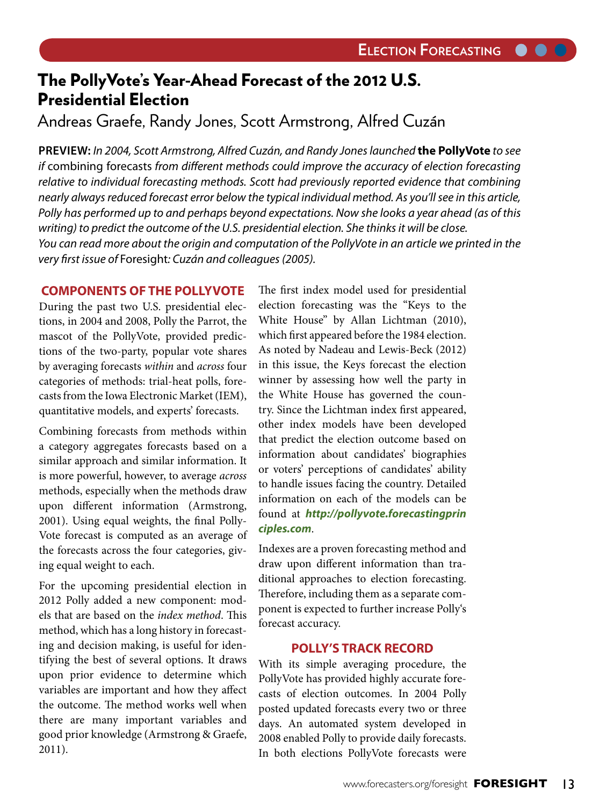$\bullet$   $\bullet$ 

# The PollyVote's Year-Ahead Forecast of the 2012 U.S. Presidential Election

Andreas Graefe, Randy Jones, Scott Armstrong, Alfred Cuzán

**PREVIEW:** In 2004, Scott Armstrong, Alfred Cuzán, and Randy Jones launched **the PollyVote** to see if combining forecasts from different methods could improve the accuracy of election forecasting relative to individual forecasting methods. Scott had previously reported evidence that combining nearly always reduced forecast error below the typical individual method. As you'll see in this article, Polly has performed up to and perhaps beyond expectations. Now she looks a year ahead (as of this writing) to predict the outcome of the U.S. presidential election. She thinks it will be close. You can read more about the origin and computation of the PollyVote in an article we printed in the very first issue of Foresight: Cuzán and colleagues (2005).

## **COMPONENTS OF THE POLLYVOTE**

During the past two U.S. presidential elections, in 2004 and 2008, Polly the Parrot, the mascot of the PollyVote, provided predictions of the two-party, popular vote shares by averaging forecasts within and across four categories of methods: trial-heat polls, forecasts from the Iowa Electronic Market (IEM), quantitative models, and experts' forecasts.

Combining forecasts from methods within a category aggregates forecasts based on a similar approach and similar information. It is more powerful, however, to average across methods, especially when the methods draw upon different information (Armstrong, 2001). Using equal weights, the final Polly-Vote forecast is computed as an average of the forecasts across the four categories, giving equal weight to each.

For the upcoming presidential election in 2012 Polly added a new component: models that are based on the index method. This method, which has a long history in forecasting and decision making, is useful for identifying the best of several options. It draws upon prior evidence to determine which variables are important and how they affect the outcome. The method works well when there are many important variables and good prior knowledge (Armstrong & Graefe, 2011).

The first index model used for presidential election forecasting was the "Keys to the White House" by Allan Lichtman (2010), which first appeared before the 1984 election. As noted by Nadeau and Lewis-Beck (2012) in this issue, the Keys forecast the election winner by assessing how well the party in the White House has governed the country. Since the Lichtman index first appeared, other index models have been developed that predict the election outcome based on information about candidates' biographies or voters' perceptions of candidates' ability to handle issues facing the country. Detailed information on each of the models can be found at **http://pollyvote.forecastingprin ciples.com**.

Indexes are a proven forecasting method and draw upon different information than traditional approaches to election forecasting. Therefore, including them as a separate component is expected to further increase Polly's forecast accuracy.

## **POLLY'S TRACK RECORD**

With its simple averaging procedure, the PollyVote has provided highly accurate forecasts of election outcomes. In 2004 Polly posted updated forecasts every two or three days. An automated system developed in 2008 enabled Polly to provide daily forecasts. In both elections PollyVote forecasts were